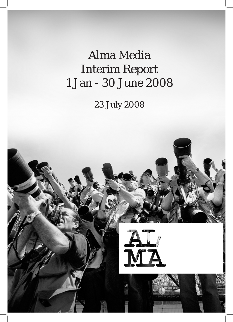Alma Media Interim Report 1 Jan - 30 June 2008

23 July 2008

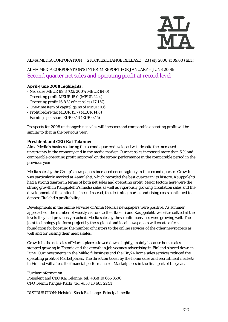

### ALMA MEDIA CORPORATION STOCK EXCHANGE RELEASE 23 July 2008 at 09.00 (EET)

# ALMA MEDIA CORPORATION'S INTERIM REPORT FOR JANUARY – JUNE 2008: Second quarter net sales and operating profit at record level

### **April-June 2008 highlights:**

- Net sales MEUR 89.3 (Q2/2007: MEUR 84.0)
- Operating profit MEUR 15.0 (MEUR 14.4)
- Operating profit 16.8 % of net sales (17.1 %)
- One-time item of capital gains of MEUR 0.6
- Profit before tax MEUR 15.7 (MEUR 14.8)
- Earnings per share EUR 0.16 (EUR 0.15)

Prospects for 2008 unchanged: net sales will increase and comparable operating profit will be similar to that in the previous year.

#### **President and CEO Kai Telanne:**

Alma Media's business during the second quarter developed well despite the increased uncertainty in the economy and in the media market. Our net sales increased more than 6 % and comparable operating profit improved on the strong performance in the comparable period in the previous year.

Media sales by the Group's newspapers increased encouragingly in the second quarter. Growth was particularly marked at Aamulehti, which recorded the best quarter in its history. Kauppalehti had a strong quarter in terms of both net sales and operating profit. Major factors here were the strong growth in Kauppalehti's media sales as well as vigorously growing circulation sales and the development of the online business. Instead, the declining market and rising costs continued to depress Iltalehti's profitability.

Developments in the online services of Alma Media's newspapers were positive. As summer approached, the number of weekly visitors to the Iltalehti and Kauppalehti websites settled at the levels they had previously reached. Media sales by these online services were growing well. The joint technology platform project by the regional and local newspapers will create a firm foundation for boosting the number of visitors to the online services of the other newspapers as well and for raising their media sales.

Growth in the net sales of Marketplaces slowed down slightly, mainly because home sales stopped growing in Estonia and the growth in job vacancy advertising in Finland slowed down in June. Our investments in the Mikko.fi business and the City24 home sales services reduced the operating profit of Marketplaces. The direction taken by the home sales and recruitment markets in Finland will affect the financial performance of Marketplaces in the final part of the year.

Further information: President and CEO Kai Telanne, tel. +358 10 665 3500 CFO Teemu Kangas-Kärki, tel. +358 10 665 2244

DISTRIBUTION: Helsinki Stock Exchange, Principal media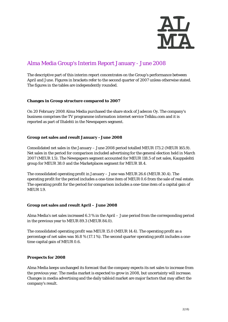

# Alma Media Group's Interim Report January - June 2008

The descriptive part of this interim report concentrates on the Group's performance between April and June. Figures in brackets refer to the second quarter of 2007 unless otherwise stated. The figures in the tables are independently rounded.

### **Changes in Group structure compared to 2007**

On 20 February 2008 Alma Media purchased the share stock of Jadecon Oy. The company's business comprises the TV programme information internet service Telkku.com and it is reported as part of Iltalehti in the Newspapers segment.

### **Group net sales and result January - June 2008**

Consolidated net sales in the January – June 2008 period totalled MEUR 173.2 (MEUR 165.9). Net sales in the period for comparison included advertising for the general election held in March 2007 (MEUR 1.5). The Newspapers segment accounted for MEUR 118.5 of net sales, Kauppalehti group for MEUR 38.0 and the Marketplaces segment for MEUR 18.4.

The consolidated operating profit in January – June was MEUR 26.6 (MEUR 30.4). The operating profit for the period includes a one-time item of MEUR 0.6 from the sale of real estate. The operating profit for the period for comparison includes a one-time item of a capital gain of MEUR 1.9.

#### **Group net sales and result April – June 2008**

Alma Media's net sales increased 6.3 % in the April – June period from the corresponding period in the previous year to MEUR 89.3 (MEUR 84.0).

The consolidated operating profit was MEUR 15.0 (MEUR 14.4). The operating profit as a percentage of net sales was 16.8 % (17.1 %). The second quarter operating profit includes a onetime capital gain of MEUR 0.6.

#### **Prospects for 2008**

Alma Media keeps unchanged its forecast that the company expects its net sales to increase from the previous year. The media market is expected to grow in 2008, but uncertainty will increase. Changes in media advertising and the daily tabloid market are major factors that may affect the company's result.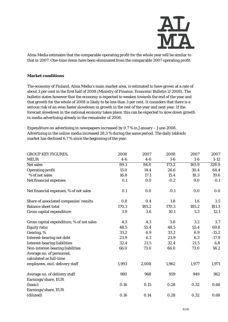

Alma Media estimates that the comparable operating profit for the whole year will be similar to that in 2007. One-time items have been eliminated from the comparable 2007 operating profit.

#### **Market conditions**

The economy of Finland, Alma Media's main market area, is estimated to have grown at a rate of about 3 per cent in the first half of 2008 (Ministry of Finance, Economic Bulletin 2/2008). The bulletin states however that the economy is expected to weaken towards the end of the year and that growth for the whole of 2008 is likely to be less than 3 per cent. It considers that there is a serious risk of an even faster slowdown in growth in the rest of the year and next year. If the forecast slowdown in the national economy takes place, this can be expected to slow down growth in media advertising already in the remainder of 2008.

Expenditure on advertising in newspapers increased by 0.7 % in January – June 2008. Advertising in the online media increased 28.3 % during the same period. The daily tabloids market has declined 6.7 % since the beginning of the year.

| <b>GROUP KEY FIGURES,</b>                 | 2008  | 2007  | 2008   | 2007  | 2007     |
|-------------------------------------------|-------|-------|--------|-------|----------|
| <b>MEUR</b>                               | $4-6$ | $4-6$ | $1-6$  | $1-6$ | $1 - 12$ |
| <b>Net sales</b>                          | 89.3  | 84.0  | 173.2  | 165.9 | 328.9    |
| <b>Operating profit</b>                   | 15.0  | 14.4  | 26.6   | 30.4  | 64.4     |
| % of net sales                            | 16.8  | 17.1  | 15.4   | 18.3  | 19.6     |
| Net financial expenses                    | 0.1   | 0.0   | $-0.2$ | 0.0   | $-0.1$   |
| Net financial expenses, % of net sales    | 0.1   | 0.0   | $-0.1$ | 0.0   | 0.0      |
| Share of associated companies' results    | 0.8   | 0.4   | 1.8    | 1.6   | 3.5      |
| <b>Balance sheet total</b>                | 170.3 | 185.2 | 170.3  | 185.2 | 181.3    |
| Gross capital expenditure                 | 3.9   | 3.6   | 10.1   | 5.3   | 12.1     |
| Gross capital expenditure, % of net sales | 4.3   | 4.3   | 5.8    | 3.2   | 3.7      |
| <b>Equity ratio</b>                       | 48.5  | 55.4  | 48.5   | 55.4  | 69.8     |
| Gearing, %                                | 33.2  | 6.9   | 33.2   | 6.9   | $-15.2$  |
| Interest-bearing net debt                 | 23.9  | 6.3   | 23.9   | 6.3   | $-17.9$  |
| <b>Interest-bearing liabilities</b>       | 32.4  | 21.5  | 32.4   | 21.5  | 6.8      |
| Non-interest-bearing liabilities          | 66.0  | 73.0  | 66.0   | 73.0  | 56.2     |
| Average no. of personnel,                 |       |       |        |       |          |
| calculated as full-time                   |       |       |        |       |          |
| employees, excl. delivery staff           | 1,993 | 2,008 | 1,962  | 1,977 | 1,971    |
| Average no. of delivery staff             | 980   | 968   | 959    | 949   | 962      |
| Earnings/share, EUR                       |       |       |        |       |          |
| (basic)                                   | 0.16  | 0.15  | 0.28   | 0.32  | 0.68     |
| Earnings/share, EUR                       |       |       |        |       |          |
| (diluted)                                 | 0.16  | 0.14  | 0.28   | 0.32  | 0.68     |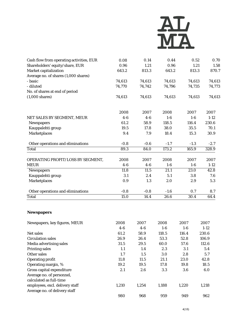

| Cash flow from operating activities, EUR | 0.08   | 0.14   | 0.44   | 0.52   | 0.70              |
|------------------------------------------|--------|--------|--------|--------|-------------------|
| Shareholders' equity/share, EUR          | 0.96   | 1.21   | 0.96   | 1.21   | 1.58              |
| Market capitalization                    | 643.2  | 813.3  | 643.2  | 813.3  | 870.7             |
| Average no. of shares (1,000 shares)     |        |        |        |        |                   |
| - basic                                  | 74,613 | 74,613 | 74,613 | 74,613 | 74,613            |
| - diluted                                | 74,770 | 74,742 | 74,796 | 74,735 | 74,773            |
| No. of shares at end of period           |        |        |        |        |                   |
| $(1,000 \text{ shares})$                 | 74,613 | 74,613 | 74,613 | 74,613 | 74,613            |
|                                          | 2008   | 2007   | 2008   | 2007   | 2007              |
| NET SALES BY SEGMENT, MEUR               | $4-6$  | $4-6$  | $1-6$  | $1-6$  | $1 - 12$          |
| <b>Newspapers</b>                        | 61.2   | 58.9   | 118.5  | 116.4  | 230.6             |
| Kauppalehti group                        | 19.5   | 17.8   | 38.0   | 35.5   | 70.1              |
| <b>Marketplaces</b>                      | 9.4    | 7.9    | 18.4   | 15.3   | 30.9              |
| Other operations and eliminations        | $-0.8$ | $-0.6$ | $-1.7$ | $-1.3$ | $-2.7$            |
| Total                                    | 89.3   | 84.0   | 173.2  | 165.9  | 328.9             |
| OPERATING PROFIT/LOSS BY SEGMENT,        | 2008   | 2007   | 2008   | 2007   | 2007              |
| <b>MEUR</b>                              | $4-6$  | $4-6$  | $1-6$  | $1-6$  | $1 - 12$          |
| <b>Newspapers</b>                        | 11.8   | 11.5   | 21.1   | 23.0   | $\overline{42.8}$ |
| Kauppalehti group                        | 3.1    | 2.4    | 5.1    | 3.8    | 7.6               |
| <b>Marketplaces</b>                      | 0.9    | 1.3    | 2.0    | 2.9    | 5.3               |
| Other operations and eliminations        | $-0.8$ | $-0.8$ | $-1.6$ | 0.7    | 8.7               |
| <b>Total</b>                             | 15.0   | 14.4   | 26.6   | 30.4   | 64.4              |
|                                          |        |        |        |        |                   |

# **Newspapers**

| Newspapers, key figures, MEUR   | 2008  | 2007  | 2008  | 2007  | 2007   |
|---------------------------------|-------|-------|-------|-------|--------|
|                                 | $4-6$ | $4-6$ | $1-6$ | $1-6$ | $1-12$ |
| Net sales                       | 61.2  | 58.9  | 118.5 | 116.4 | 230.6  |
| <b>Circulation sales</b>        | 26.9  | 26.4  | 53.3  | 52.8  | 106.9  |
| Media advertising sales         | 31.5  | 29.5  | 60.0  | 57.6  | 112.6  |
| <b>Printing sales</b>           | 1.1   | 1.4   | 2.3   | 3.1   | 5.4    |
| Other sales                     | 1.7   | 1.5   | 3.0   | 2.8   | 5.7    |
| <b>Operating profit</b>         | 11.8  | 11.5  | 21.1  | 23.0  | 42.8   |
| Operating margin, %             | 19.2  | 19.5  | 17.8  | 19.8  | 18.5   |
| Gross capital expenditure       | 2.1   | 2.6   | 3.3   | 3.6   | 6.0    |
| Average no. of personnel,       |       |       |       |       |        |
| calculated as full-time         |       |       |       |       |        |
| employees, excl. delivery staff | 1,210 | 1,254 | 1,188 | 1,220 | 1,218  |
| Average no. of delivery staff   |       |       |       |       |        |
|                                 | 980   | 968   | 959   | 949   | 962    |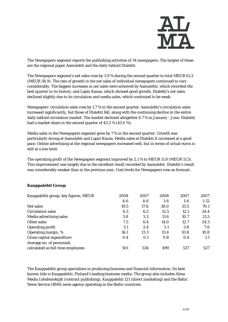

The Newspapers segment reports the publishing activities of 34 newspapers. The largest of these are the regional paper Aamulehti and the daily tabloid Iltalehti.

The Newspapers segment's net sales rose by 3.9 % during the second quarter to total MEUR 61.2 (MEUR 58.9). The rate of growth in the net sales of individual newspapers continued to vary considerably. The biggest increases in net sales were achieved by Aamulehti, which recorded the best quarter in its history, and Lapin Kansa, which showed good growth. Iltalehti's net sales declined slightly due to its circulation and media sales, which continued to be weak.

Newspapers' circulation sales rose by 1.7 % in the second quarter. Aamulehti's circulation sales increased significantly, but those of Iltalehti fell, along with the continuing decline in the entire daily tabloid circulation market. The market declined altogether 6.7 % in January - June. Iltalehti had a market share in the second quarter of 43.2 % (43.0 %).

Media sales in the Newspapers segment grew by 7 % in the second quarter. Growth was particularly strong at Aamulehti and Lapin Kansa. Media sales at Iltalehti.fi increased at a good pace. Online advertising at the regional newspapers increased well, but in terms of actual euros is still at a low level.

The operating profit of the Newspapers segment improved by 2.1 % to MEUR 11.8 (MEUR 11.5). This improvement was largely due to the excellent result recorded by Aamulehti. Iltalehti's result was considerably weaker than in the previous year. Cost levels for Newspapers rose as forecast.

| Kauppalehti group, key figures, MEUR | 2008  | 2007  | 2008  | 2007  | 2007   |
|--------------------------------------|-------|-------|-------|-------|--------|
|                                      | $4-6$ | $4-6$ | $1-6$ | $1-6$ | $1-12$ |
| Net sales                            | 19.5  | 17.8  | 38.0  | 35.5  | 70.1   |
| <b>Circulation sales</b>             | 6.3   | 6.2   | 12.5  | 12.1  | 24.4   |
| Media advertising sales              | 5.8   | 5.3   | 11.6  | 10.7  | 21.5   |
| Other sales                          | 7.5   | 6.4   | 14.0  | 12.7  | 24.3   |
| <b>Operating profit</b>              | 3.1   | 2.4   | 5.1   | 3.8   | 7.6    |
| Operating margin, %                  | 16.1  | 13.3  | 13.4  | 10.8  | 10.8   |
| Gross capital expenditure            | 0.4   | 0.1   | 0.8   | 0.4   | 1.1    |
| Average no. of personnel,            |       |       |       |       |        |
| calculated as full-time employees    | 501   | 534   | 499   | 537   | 527    |

# **Kauppalehti Group**

The Kauppalehti group specializes in producing business and financial information. Its best known title is Kauppalehti, Finland's leading business media. The group also includes Alma Media Lehdentekijät (contract publishing), Kauppalehti 121 (direct marketing) and the Baltic News Service (BNS) news agency operating in the Baltic countries.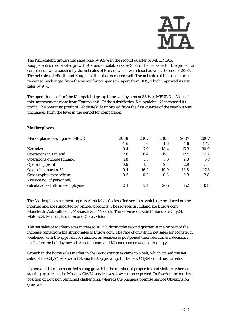

The Kauppalehti group's net sales rose by 9.5 % in the second quarter to MEUR 19.5. Kauppalehti's media sales grew 11.9 % and circulation sales 9.5 %. The net sales for the period for comparison were boosted by the net sales of Presso, which was closed down at the end of 2007. The net sales of ePortti and Kauppalehti.fi also increased well. The net sales of the subsidiaries remained unchanged from the period for comparison, apart from BNS, which improved its net sales by 9 %.

The operating profit of the Kauppalehti group improved by almost 33 % to MEUR 3.1. Most of this improvement came from Kauppalehti. Of the subsidiaries, Kauppalehti 121 increased its profit. The operating profit of Lehdentekijät improved from the first quarter of the year but was unchanged from the level in the period for comparison.

### **Marketplaces**

| Marketplaces, key figures, MEUR   | 2008  | 2007  | 2008  | 2007  | 2007   |
|-----------------------------------|-------|-------|-------|-------|--------|
|                                   | $4-6$ | $4-6$ | $1-6$ | $1-6$ | $1-12$ |
| Net sales                         | 9.4   | 7.9   | 18.4  | 15.3  | 30.9   |
| <b>Operations in Finland</b>      | 7.6   | 6.4   | 15.1  | 12.5  | 25.2   |
| <b>Operations outside Finland</b> | 1.8   | 1.5   | 3.3   | 2.8   | 5.7    |
| <b>Operating profit</b>           | 0.9   | 1.3   | 2.0   | 2.9   | 5.3    |
| Operating margin, %               | 9.4   | 16.2  | 10.9  | 18.8  | 17.3   |
| Gross capital expenditure         | 0.5   | 0.2   | 0.8   | 0.3   | 2.8    |
| Average no. of personnel,         |       |       |       |       |        |
| calculated as full-time employees | 211   | 154   | 205   | 152   | 158    |

The Marketplaces segment reports Alma Media's classified services, which are produced on the internet and are supported by printed products. The services in Finland are Etuovi.com, Monster.fi, Autotalli.com, Mascus.fi and Mikko.fi. The services outside Finland are City24, Motors24, Mascus, Bovision and Objektvision.

The net sales of Marketplaces increased 18.2 % during the second quarter. A major part of the increase came from the strong sales at Etuovi.com. The rate of growth in net sales for Monster.fi weakened with the approach of summer, as businesses postponed their recruitment decisions until after the holiday period. Autotalli.com and Mascus.com grew encouragingly.

Growth in the home sales market in the Baltic countries came to a halt, which caused the net sales of the City24 service in Estonia to stop growing. In the new City24 countries, Croatia,

Poland and Ukraine recorded strong growth in the number of properties and visitors, whereas starting up sales at the Moscow City24 service was slower than expected. In Sweden the market position of Bovision remained challenging, whereas the business premise service Objektvision grew well.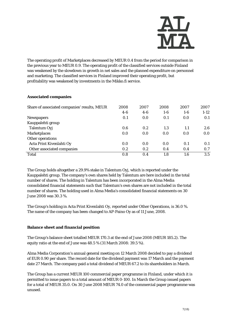

The operating profit of Marketplaces decreased by MEUR 0.4 from the period for comparison in the previous year to MEUR 0.9. The operating profit of the classified services outside Finland was weakened by the slowdown in growth in net sales and the planned expenditure on personnel and marketing. The classified services in Finland improved their operating profit, but profitability was weakened by investments in the Mikko.fi service.

# **Associated companies**

| Share of associated companies' results, MEUR | 2008  | 2007  | 2008  | 2007    | 2007   |
|----------------------------------------------|-------|-------|-------|---------|--------|
|                                              | $4-6$ | $4-6$ | $1-6$ | $1 - 6$ | $1-12$ |
| <b>Newspapers</b>                            | 0.1   | 0.0   | 0.1   | 0.0     | 0.1    |
| Kauppalehti group                            |       |       |       |         |        |
| Talentum Oyj                                 | 0.6   | 0.2   | 1.3   | 1.1     | 2.6    |
| <b>Marketplaces</b>                          | 0.0   | 0.0   | 0.0   | 0.0     | 0.0    |
| Other operations                             |       |       |       |         |        |
| Acta Print Kivenlahti Oy                     | 0.0   | 0.0   | 0.0   | 0.1     | 0.1    |
| Other associated companies                   | 0.2   | 0.2   | 0.4   | 0.4     | 0.7    |
| Total                                        | 0.8   | 0.4   | 1.8   | $1.6\,$ | 3.5    |

The Group holds altogether a 29.9% stake in Talentum Oyj, which is reported under the Kauppalehti group. The company's own shares held by Talentum are here included in the total number of shares. The holding in Talentum has been incorporated in the Alma Media consolidated financial statements such that Talentum's own shares are not included in the total number of shares. The holding used in Alma Media's consolidated financial statements on 30 June 2008 was 30.3 %.

The Group's holding in Acta Print Kivenlahti Oy, reported under Other Operations, is 36.0 %. The name of the company has been changed to AP-Paino Oy as of 11 June, 2008.

# **Balance sheet and financial position**

The Group's balance sheet totalled MEUR 170.3 at the end of June 2008 (MEUR 185.2). The equity ratio at the end of June was 48.5 % (31 March 2008: 39.5 %).

Alma Media Corporation's annual general meeting on 12 March 2008 decided to pay a dividend of EUR 0.90 per share. The record date for the dividend payment was 17 March and the payment date 27 March. The company paid a total dividend of MEUR 67.2 to its shareholders in March.

The Group has a current MEUR 100 commercial paper programme in Finland, under which it is permitted to issue papers to a total amount of MEUR 0-100. In March the Group issued papers for a total of MEUR 35.0. On 30 June 2008 MEUR 74.0 of the commercial paper programme was unused.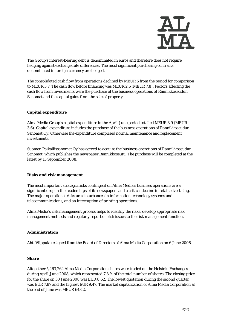

The Group's interest-bearing debt is denominated in euros and therefore does not require hedging against exchange rate differences. The most significant purchasing contracts denominated in foreign currency are hedged.

The consolidated cash flow from operations declined by MEUR 5 from the period for comparison to MEUR 5.7. The cash flow before financing was MEUR 2.5 (MEUR 7.8). Factors affecting the cash flow from investments were the purchase of the business operations of Rannikkoseudun Sanomat and the capital gains from the sale of property.

# **Capital expenditure**

Alma Media Group's capital expenditure in the April-June period totalled MEUR 3.9 (MEUR 3.6). Capital expenditure includes the purchase of the business operations of Rannikkoseudun Sanomat Oy. Otherwise the expenditure comprised normal maintenance and replacement investments.

Suomen Paikallissanomat Oy has agreed to acquire the business operations of Rannikkoseudun Sanomat, which publishes the newspaper Rannikkoseutu. The purchase will be completed at the latest by 15 September 2008.

#### **Risks and risk management**

The most important strategic risks contingent on Alma Media's business operations are a significant drop in the readerships of its newspapers and a critical decline in retail advertising. The major operational risks are disturbances in information technology systems and telecommunications, and an interruption of printing operations.

Alma Media's risk management process helps to identify the risks, develop appropriate risk management methods and regularly report on risk issues to the risk management function.

#### **Administration**

Ahti Vilppula resigned from the Board of Directors of Alma Media Corporation on 6 June 2008.

#### **Share**

Altogether 5,463,264 Alma Media Corporation shares were traded on the Helsinki Exchanges during April-June 2008, which represented 7.3 % of the total number of shares. The closing price for the share on 30 June 2008 was EUR 8.62. The lowest quotation during the second quarter was EUR 7.87 and the highest EUR 9.47. The market capitalization of Alma Media Corporation at the end of June was MEUR 643.2.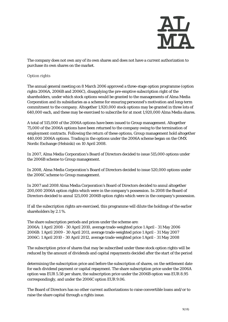

The company does not own any of its own shares and does not have a current authorization to purchase its own shares on the market.

#### Option rights

The annual general meeting on 8 March 2006 approved a three-stage option programme (option rights 2006A, 2006B and 2006C), disapplying the pre-emptive subscription right of the shareholders, under which stock options would be granted to the managements of Alma Media Corporation and its subsidiaries as a scheme for ensuring personnel's motivation and long-term commitment to the company. Altogether 1,920,000 stock options may be granted in three lots of 640,000 each, and these may be exercised to subscribe for at most 1,920,000 Alma Media shares.

A total of 515,000 of the 2006A options have been issued to Group management. Altogether 75,000 of the 2006A options have been returned to the company owing to the termination of employment contracts. Following the return of these options, Group management hold altogether 440,000 2006A options. Trading in the options under the 2006A scheme began on the OMX Nordic Exchange (Helsinki) on 10 April 2008.

In 2007, Alma Media Corporation's Board of Directors decided to issue 515,000 options under the 2006B scheme to Group management.

In 2008, Alma Media Corporation's Board of Directors decided to issue 520,000 options under the 2006C scheme to Group management.

In 2007 and 2008 Alma Media Corporation's Board of Directors decided to annul altogether 200,000 2006A option rights which were in the company's possession. In 2008 the Board of Directors decided to annul 125,000 2006B option rights which were in the company's possession.

If all the subscription rights are exercised, this programme will dilute the holdings of the earlier shareholders by 2.1 %.

The share subscription periods and prices under the scheme are: 2006A: 1 April 2008 - 30 April 2010, average trade-weighted price 1 April - 31 May 2006 2006B: 1 April 2009 - 30 April 2011, average trade-weighted price 1 April - 31 May 2007 2006C: 1 April 2010 - 30 April 2012, average trade-weighted price 1 April - 31 May 2008

The subscription price of shares that may be subscribed under these stock option rights will be reduced by the amount of dividends and capital repayments decided after the start of the period

determining the subscription price and before the subscription of shares, on the settlement date for each dividend payment or capital repayment. The share subscription price under the 2006A option was EUR 5.58 per share, the subscription price under the 2006B option was EUR 8.95 correspondingly, and under the 2006C option EUR 9.06.

The Board of Directors has no other current authorizations to raise convertible loans and/or to raise the share capital through a rights issue.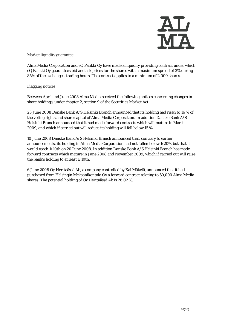

Market liquidity guarantee

Alma Media Corporation and eQ Pankki Oy have made a liquidity providing contract under which eQ Pankki Oy guarantees bid and ask prices for the shares with a maximum spread of 3% during 85% of the exchange's trading hours. The contract applies to a minimum of 2,000 shares.

Flagging notices

Between April and June 2008 Alma Media received the following notices concerning changes in share holdings, under chapter 2, section 9 of the Securities Market Act:

23 June 2008 Danske Bank A/S Helsinki Branch announced that its holding had risen to 16 % of the voting rights and share capital of Alma Media Corporation. In addition Danske Bank A/S Helsinki Branch announced that it had made forward contracts which will mature in March 2009, and which if carried out will reduce its holding will fall below 15 %.

10 June 2008 Danske Bank A/S Helsinki Branch announced that, contrary to earlier announcements, its holding in Alma Media Corporation had not fallen below 1/20th, but that it would reach 1/10th on 20 June 2008. In addition Danske Bank A/S Helsinki Branch has made forward contracts which mature in June 2008 and November 2009, which if carried out will raise the bank's holding to at least 1/10th.

6 June 2008 Oy Herttaässä Ab, a company controlled by Kai Mäkelä, announced that it had purchased from Helsingin Mekaanikontalo Oy a forward contract relating to 50,000 Alma Media shares. The potential holding of Oy Herttaässä Ab is 28.02 %.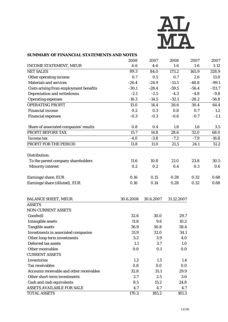

#### **SUMMARY OF FINANCIAL STATEMENTS AND NOTES**

|                                           | 2008      | 2007      | 2008       | 2007    | 2007     |
|-------------------------------------------|-----------|-----------|------------|---------|----------|
| <b>INCOME STATEMENT, MEUR</b>             | $4-6$     | $4-6$     | $1-6$      | $1-6$   | $1 - 12$ |
| <b>NET SALES</b>                          | 89.3      | 84.0      | 173.2      | 165.9   | 328.9    |
| Other operating income                    | 0.7       | 0.5       | 0.7        | 2.6     | 13.0     |
| <b>Materials and services</b>             | $-26.4$   | $-24.9$   | $-51.5$    | $-48.8$ | $-99.1$  |
| Costs arising from employment benefits    | $-30.1$   | $-28.4$   | $-59.5$    | $-56.4$ | $-111.7$ |
| Depreciation and writedowns               | $-2.1$    | $-2.5$    | $-4.3$     | $-4.8$  | $-9.8$   |
| <b>Operating expenses</b>                 | $-16.3$   | $-14.5$   | $-32.1$    | $-28.2$ | $-56.8$  |
| <b>OPERATING PROFIT</b>                   | 15.0      | 14.4      | 26.6       | 30.4    | 64.4     |
| <b>Financial income</b>                   | 0.2       | 0.3       | 0.8        | 0.7     | 1.2      |
| <b>Financial expenses</b>                 | $-0.3$    | $-0.3$    | $-0.6$     | $-0.7$  | $-1.1$   |
| Share of associated companies' results    | 0.8       | 0.4       | 1.8        | 1.6     | 3.5      |
| PROFIT BEFORE TAX                         | 15.7      | 14.8      | 28.6       | 32.0    | 68.0     |
| Income tax                                | $-4.0$    | $-3.8$    | $-7.2$     | $-7.9$  | $-16.8$  |
| PROFIT FOR THE PERIOD                     | 11.8      | 11.0      | 21.5       | 24.1    | 51.2     |
| Distribution:                             |           |           |            |         |          |
| To the parent company shareholders        | 11.6      | 10.8      | 21.0       | 23.8    | 50.5     |
| <b>Minority interest</b>                  | 0.2       | 0.2       | 0.4        | 0.3     | 0.6      |
|                                           |           |           |            |         |          |
| Earnings/share, EUR                       | 0.16      | 0.15      | 0.28       | 0.32    | 0.68     |
| Earnings/share (diluted), EUR             | 0.16      | 0.14      | 0.28       | 0.32    | 0.68     |
| <b>BALANCE SHEET, MEUR</b>                | 30.6.2008 | 30.6.2007 | 31.12.2007 |         |          |
| <b>ASSETS</b>                             |           |           |            |         |          |
| NON-CURRENT ASSETS                        |           |           |            |         |          |
| Goodwill                                  | 32.6      | 30.0      | 29.7       |         |          |
| <b>Intangible assets</b>                  | 11.8      | 9.6       | 10.2       |         |          |
| <b>Tangible assets</b>                    | 36.9      | 50.8      | 38.4       |         |          |
| Investments in associated companies       | 31.9      | 32.0      | 34.1       |         |          |
| Other long-term investments               | 5.2       | 3.9       | 4.0        |         |          |
| Deferred tax assets                       | 1.1       | 3.7       | 1.0        |         |          |
| Other receivables                         | 0.0       | 0.1       | 0.0        |         |          |
| <b>CURRENT ASSETS</b>                     |           |           |            |         |          |
| Inventories                               | 1.2       | 1.5       | 1.4        |         |          |
| <b>Tax receivables</b>                    | 0.8       | 0.0       | 0.0        |         |          |
| Accounts receivable and other receivables | 32.8      | 31.1      | 29.9       |         |          |
| Other short-term investments              | 2.7       | 2.5       | 3.0        |         |          |
| Cash and cash equivalents                 | 8.5       | 15.2      | 24.8       |         |          |
| <b>ASSETS AVAILABLE FOR SALE</b>          | 4.7       | 4.7       | 4.7        |         |          |
| <b>TOTAL ASSETS</b>                       | 170.3     | 185.2     | 181.3      |         |          |
|                                           |           |           |            |         |          |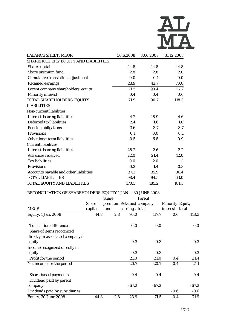

| <b>BALANCE SHEET, MEUR</b>                    | 30.6.2008 | 30.6.2007 | 31.12.2007 |
|-----------------------------------------------|-----------|-----------|------------|
| SHAREHOLDERS' EQUITY AND LIABILITIES          |           |           |            |
| Share capital                                 | 44.8      | 44.8      | 44.8       |
| Share premium fund                            | 2.8       | 2.8       | 2.8        |
| <b>Cumulative translation adjustment</b>      | 0.0       | 0.1       | 0.0        |
| <b>Retained earnings</b>                      | 23.9      | 42.7      | 70.0       |
| Parent company shareholders' equity           | 71.5      | 90.4      | 117.7      |
| <b>Minority interest</b>                      | 0.4       | 0.4       | 0.6        |
| TOTAL SHAREHOLDERS' EQUITY                    | 71.9      | 90.7      | 118.3      |
| <b>LIABILITIES</b>                            |           |           |            |
| <b>Non-current liabilities</b>                |           |           |            |
| <b>Interest-bearing liabilities</b>           | 4.2       | 18.9      | 4.6        |
| Deferred tax liabilities                      | 2.4       | 1.6       | 1.8        |
| <b>Pension obligations</b>                    | 3.6       | 3.7       | 3.7        |
| <b>Provisions</b>                             | 0.1       | 0.0       | 0.1        |
| Other long-term liabilities                   | 0.5       | 6.8       | 0.9        |
| <b>Current liabilities</b>                    |           |           |            |
| <b>Interest-bearing liabilities</b>           | 28.2      | 2.6       | 2.2        |
| <b>Advances received</b>                      | 22.0      | 21.4      | 12.0       |
| <b>Tax liabilities</b>                        | 0.0       | 2.0       | 1.1        |
| <b>Provisions</b>                             | 0.2       | 1.4       | 0.3        |
| <b>Accounts payable and other liabilities</b> | 37.2      | 35.9      | 36.4       |
| <b>TOTAL LIABILITIES</b>                      | 98.4      | 94.5      | 63.0       |
| TOTAL EQUITY AND LIABILITIES                  | 170.3     | 185.2     | 181.3      |

# RECONCILIATION OF SHAREHOLDERS' EQUITY 1 JAN. – 30 JUNE 2008

|                                  |         | <b>Share</b> |     |                | Parent                    |        |                  |         |
|----------------------------------|---------|--------------|-----|----------------|---------------------------|--------|------------------|---------|
|                                  | Share   |              |     |                | premium Retained company, |        | Minority Equity, |         |
| <b>MEUR</b>                      | capital | fund         |     | earnings total |                           |        | interest total   |         |
| <b>Equity, 1 Jan. 2008</b>       | 44.8    |              | 2.8 | 70.0           | 117.7                     |        | 0.6              | 118.3   |
| <b>Translation differences</b>   |         |              |     | 0.0            |                           | 0.0    |                  | 0.0     |
| Share of items recognized        |         |              |     |                |                           |        |                  |         |
| directly in associated company's |         |              |     |                |                           |        |                  |         |
| equity                           |         |              |     | $-0.3$         |                           | $-0.3$ |                  | $-0.3$  |
| Income recognized directly in    |         |              |     |                |                           |        |                  |         |
| equity                           |         |              |     | $-0.3$         |                           | $-0.3$ |                  | $-0.3$  |
| Profit for the period            |         |              |     | 21.0           |                           | 21.0   | 0.4              | 21.4    |
| Net income for the period        |         |              |     | 20.7           |                           | 20.7   | 0.4              | 21.1    |
| <b>Share-based payments</b>      |         |              |     | 0.4            |                           | 0.4    |                  | 0.4     |
| Dividend paid by parent          |         |              |     |                |                           |        |                  |         |
| company                          |         |              |     | $-67.2$        | $-67.2$                   |        |                  | $-67.2$ |
| Dividends paid by subsidiaries   |         |              |     |                |                           |        | $-0.6$           | $-0.6$  |
| Equity, 30 June 2008             | 44.8    |              | 2.8 | 23.9           |                           | 71.5   | 0.4              | 71.9    |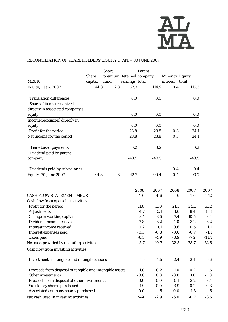

# RECONCILIATION OF SHAREHOLDERS' EQUITY 1 JAN. – 30 JUNE 2007

|                                                             |              | <b>Share</b> |     | Parent                    |            |                  |             |            |
|-------------------------------------------------------------|--------------|--------------|-----|---------------------------|------------|------------------|-------------|------------|
|                                                             | <b>Share</b> |              |     | premium Retained company, |            | Minority Equity, |             |            |
| <b>MEUR</b>                                                 | capital      | fund         |     | earnings total            |            | interest total   |             |            |
| Equity, 1 Jan. 2007                                         | 44.8         |              | 2.8 | 67.3                      | 114.9      | 0.4              | 115.3       |            |
| <b>Translation differences</b><br>Share of items recognized |              |              |     | 0.0                       | 0.0        |                  | 0.0         |            |
| directly in associated company's                            |              |              |     |                           |            |                  |             |            |
| equity                                                      |              |              |     | 0.0                       | 0.0        |                  | 0.0         |            |
| Income recognized directly in<br>equity                     |              |              |     | 0.0                       | 0.0        |                  | 0.0         |            |
| Profit for the period                                       |              |              |     | 23.8                      | 23.8       | 0.3              | 24.1        |            |
| Net income for the period                                   |              |              |     | 23.8                      | 23.8       | 0.3              | 24.1        |            |
| Share-based payments<br>Dividend paid by parent             |              |              |     | 0.2                       | 0.2        |                  | 0.2         |            |
| company                                                     |              |              |     | $-48.5$                   | $-48.5$    |                  | $-48.5$     |            |
| Dividends paid by subsidiaries                              |              |              |     |                           |            | $-0.4$           | $-0.4$      |            |
| Equity, 30 June 2007                                        | 44.8         |              | 2.8 | 42.7                      | 90.4       | 0.4              | 90.7        |            |
|                                                             |              |              |     | 2008                      | 2007       | 2008             | 2007        | 2007       |
| <b>CASH FLOW STATEMENT, MEUR</b>                            |              |              |     | $4-6$                     | $4-6$      | $1-6$            | $1-6$       | $1 - 12$   |
| Cash flow from operating activities                         |              |              |     |                           |            |                  |             |            |
| Profit for the period                                       |              |              |     | 11.8                      | 11.0       | 21.5             | 24.1        | 51.2       |
| <b>Adjustments</b>                                          |              |              |     | 4.7                       | 5.1        | 8.6              | 8.4         | 8.8        |
| Change in working capital<br>Dividend income received       |              |              |     | $-8.1$<br>3.8             | $-3.5$     | 7.4              | 10.5<br>3.2 | 3.4        |
| <b>Interest income received</b>                             |              |              |     | 0.2                       | 3.2<br>0.1 | 4.0<br>0.6       | 0.5         | 3.2<br>1.1 |
| Interest expenses paid                                      |              |              |     | $-0.3$                    | $-0.3$     | $-0.6$           | $-0.7$      | $-1.1$     |
| <b>Taxes paid</b>                                           |              |              |     | $-6.3$                    | $-4.9$     | $-8.9$           | $-7.2$      | $-14.1$    |
| Net cash provided by operating activities                   |              |              |     | 5.7                       | 10.7       | 32.5             | 38.7        | 52.5       |
| Cash flow from investing activities                         |              |              |     |                           |            |                  |             |            |
| Investments in tangible and intangible assets               |              |              |     | $-1.5$                    | $-1.5$     | $-2.4$           | $-2.4$      | $-5.6$     |
| Proceeds from disposal of tangible and intangible assets    |              |              |     | 1.0                       | 0.2        | 1.0              | 0.2         | 1.5        |
| Other investments                                           |              |              |     | $-0.8$                    | 0.0        | $-0.8$           | 0.0         | $-1.0$     |
| Proceeds from disposal of other investments                 |              |              |     | 0.0                       | 0.0        | 0.1              | 3.2         | 3.4        |
| Subsidiary shares purchased                                 |              |              |     | $-1.9$                    | 0.0        | $-3.9$           | $-0.2$      | $-0.3$     |
| Associated company shares purchased                         |              |              |     | 0.0                       | $-1.5$     | 0.0              | $-1.5$      | $-1.5$     |
| Net cash used in investing activities                       |              |              |     | $-3.2$                    | $-2.9$     | $-6.0$           | $-0.7$      | $-3.5$     |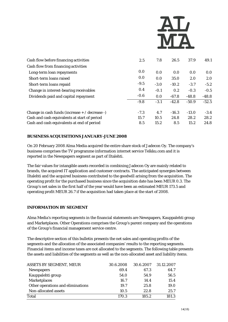

| Cash flow before financing activities            | 2.5    | 7.8    | 26.5    | 37.9    | 49.1    |
|--------------------------------------------------|--------|--------|---------|---------|---------|
| Cash flow from financing activities              |        |        |         |         |         |
| Long-term loan repayments                        | 0.0    | 0.0    | 0.0     | 0.0     | 0.0     |
| Short-term loans raised                          | 0.0    | 0.0    | 35.0    | 2.0     | 2.0     |
| Short-term loans repaid                          | $-9.5$ | $-3.0$ | $-10.2$ | $-3.7$  | $-5.2$  |
| Change in interest-bearing receivables           | 0.4    | $-0.1$ | 0.2     | $-0.3$  | $-0.5$  |
| Dividends paid and capital repayment             | $-0.6$ | 0.0    | $-67.8$ | $-48.8$ | $-48.8$ |
|                                                  | $-9.8$ | $-3.1$ | $-42.8$ | $-50.9$ | $-52.5$ |
| Change in cash funds (increase $+ /$ decrease -) | $-7.3$ | 4.7    | $-16.3$ | $-13.0$ | $-3.4$  |
| Cash and cash equivalents at start of period     | 15.7   | 10.5   | 24.8    | 28.2    | 28.2    |
| Cash and cash equivalents at end of period       | 8.5    | 15.2   | 8.5     | 15.2    | 24.8    |

# **BUSINESS ACQUISITIONS JANUARY-JUNE 2008**

On 20 February 2008 Alma Media acquired the entire share stock of Jadecon Oy. The company's business comprises the TV programme information internet service Telkku.com and it is reported in the Newspapers segment as part of Iltalehti.

The fair values for intangible assets recorded in combining Jadecon Oy are mainly related to brands, the acquired IT application and customer contracts. The anticipated synergies between Iltalehti and the acquired business contributed to the goodwill arising from the acquisition. The operating profit for the purchased business since the acquisition date has been MEUR 0.3. The Group's net sales in the first half of the year would have been an estimated MEUR 173.5 and operating profit MEUR 26.7 if the acquisition had taken place at the start of 2008.

#### **INFORMATION BY SEGMENT**

Alma Media's reporting segments in the financial statements are Newspapers, Kauppalehti group and Marketplaces. Other Operations comprises the Group's parent company and the operations of the Group's financial management service centre.

The descriptive section of this bulletin presents the net sales and operating profits of the segments and the allocation of the associated companies' results to the reporting segments. Financial items and income taxes are not allocated to the segments. The following table presents the assets and liabilities of the segments as well as the non-allocated asset and liability items.

| <b>ASSETS BY SEGMENT, MEUR</b>    | 30.6.2008 | 30.6.2007 | 31.12.2007 |
|-----------------------------------|-----------|-----------|------------|
| <b>Newspapers</b>                 | 69.4      | 67.3      | 64.7       |
| Kauppalehti group                 | 54.0      | 54.9      | 56.5       |
| <b>Marketplaces</b>               | 16.7      | 14.4      | 15.4       |
| Other operations and eliminations | 19.7      | 25.8      | 19.0       |
| Non-allocated assets              | 10.5      | 22.8      | 25.7       |
| Total                             | 170.3     | 185.2     | 181.3      |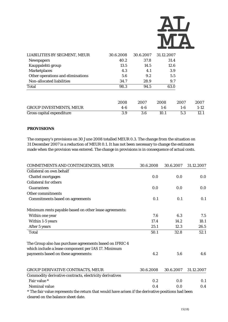

| LIABILITIES BY SEGMENT, MEUR      | 30.6.2008 | 30.6.2007 | 31.12.2007 |       |        |
|-----------------------------------|-----------|-----------|------------|-------|--------|
| <b>Newspapers</b>                 | 40.2      | 37.8      | 31.4       |       |        |
| Kauppalehti group                 | 13.5      | 14.5      |            | 12.6  |        |
| <b>Marketplaces</b>               | 4.3       | 4.1       | 3.9        |       |        |
| Other operations and eliminations | 5.6       | 9.2       | 5.5        |       |        |
| Non-allocated liabilities         | 34.7      | 28.9      | 9.7        |       |        |
| Total                             | 98.3      | 94.5      | 63.0       |       |        |
|                                   | 2008      | 2007      | 2008       | 2007  | 2007   |
| <b>GROUP INVESTMENTS, MEUR</b>    | $4-6$     | $4-6$     | $1-6$      | $1-6$ | $1-12$ |
| Gross capital expenditure         | 3.9       | 3.6       | 10.1       | 5.3   | 12.1   |

#### **PROVISIONS**

The company's provisions on 30 June 2008 totalled MEUR 0.3. The change from the situation on 31 December 2007 is a reduction of MEUR 0.1. It has not been necessary to change the estimates made when the provision was entered. The change in provisions is in consequence of actual costs.

| COMMITMENTS AND CONTINGENCIES, MEUR                                                                | 30.6.2008 | 30.6.2007 | 31.12.2007 |  |
|----------------------------------------------------------------------------------------------------|-----------|-----------|------------|--|
| Collateral on own behalf                                                                           |           |           |            |  |
| <b>Chattel mortgages</b>                                                                           | 0.0       | 0.0       | 0.0        |  |
| <b>Collateral for others</b>                                                                       |           |           |            |  |
| <b>Guarantees</b>                                                                                  | 0.0       | 0.0       | 0.0        |  |
| Other commitments                                                                                  |           |           |            |  |
| <b>Commitments based on agreements</b>                                                             | 0.1       | 0.1       | 0.1        |  |
| Minimum rents payable based on other lease agreements:                                             |           |           |            |  |
| Within one year                                                                                    | 7.6       | 6.3       | 7.5        |  |
| Within 1-5 years                                                                                   | 17.4      | 14.2      | 18.1       |  |
| After 5 years                                                                                      | 25.1      | 12.3      | 26.5       |  |
| <b>Total</b>                                                                                       | 50.1      | 32.8      | 52.1       |  |
| The Group also has purchase agreements based on IFRIC 4                                            |           |           |            |  |
| which include a lease component per IAS 17. Minimum                                                |           |           |            |  |
| payments based on these agreements:                                                                | 4.2       | 5.6       | 4.6        |  |
| GROUP DERIVATIVE CONTRACTS, MEUR                                                                   | 30.6.2008 | 30.6.2007 | 31.12.2007 |  |
| Commodity derivative contracts, electricity derivatives                                            |           |           |            |  |
| Fair value *                                                                                       | 0.2       | 0.0       | 0.1        |  |
| Nominal value                                                                                      | 0.4       | 0.0       | 0.4        |  |
| * The fair value represents the return that would have arisen if the derivative positions had been |           |           |            |  |
| cleared on the balance sheet date.                                                                 |           |           |            |  |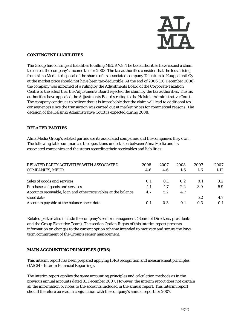

#### **CONTINGENT LIABILITIES**

The Group has contingent liabilities totalling MEUR 7.8. The tax authorities have issued a claim to correct the company's income tax for 2003. The tax authorities consider that the loss arising from Alma Media's disposal of the shares of its associated company Talentum to Kauppalehti Oy at the market price should not have been tax-deductible. At the end of 2006 (20 December 2006) the company was informed of a ruling by the Adjustments Board of the Corporate Taxation Centre to the effect that the Adjustments Board rejected the claim by the tax authorities. The tax authorities have appealed the Adjustments Board's ruling to the Helsinki Administrative Court. The company continues to believe that it is improbable that the claim will lead to additional tax consequences since the transaction was carried out at market prices for commercial reasons. The decision of the Helsinki Administrative Court is expected during 2008.

### **RELATED PARTIES**

Alma Media Group's related parties are its associated companies and the companies they own. The following table summarizes the operations undertaken between Alma Media and its associated companies and the status regarding their receivables and liabilities:

| RELATED PARTY ACTIVITIES WITH ASSOCIATED<br><b>COMPANIES, MEUR</b> | 2008<br>$4-6$ | 2007<br>$4-6$ | 2008<br>$1-6$ | 2007<br>$1-6$ | 2007<br>$1-12$   |
|--------------------------------------------------------------------|---------------|---------------|---------------|---------------|------------------|
|                                                                    |               |               |               |               |                  |
| Sales of goods and services                                        | 0.1           | 0.1           | 0.2           | 0.1           | 0.2 <sub>2</sub> |
| Purchases of goods and services                                    | 1.1           | 1.7           | 2.2           | 3.0           | 5.9              |
| Accounts receivable, loan and other receivables at the balance     | 4.7           | 5.2           | 4.7           |               |                  |
| sheet date                                                         |               |               |               | 5.2           | 4.7              |
| Accounts payable at the balance sheet date                         | 0.1           | 0.3           | 0.1           | 0.3           | 0.1              |

Related parties also include the company's senior management (Board of Directors, presidents and the Group Executive Team). The section Option Rights of this interim report presents information on changes to the current option scheme intended to motivate and secure the longterm commitment of the Group's senior management.

# **MAIN ACCOUNTING PRINCIPLES (IFRS)**

This interim report has been prepared applying IFRS recognition and measurement principles (IAS 34 - Interim Financial Reporting).

The interim report applies the same accounting principles and calculation methods as in the previous annual accounts dated 31 December 2007. However, the interim report does not contain all the information or notes to the accounts included in the annual report. This interim report should therefore be read in conjunction with the company's annual report for 2007.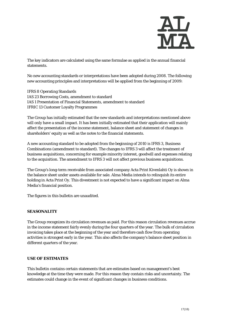

The key indicators are calculated using the same formulae as applied in the annual financial statements.

No new accounting standards or interpretations have been adopted during 2008. The following new accounting principles and interpretations will be applied from the beginning of 2009:

IFRS 8 Operating Standards IAS 23 Borrowing Costs, amendment to standard IAS 1 Presentation of Financial Statements, amendment to standard IFRIC 13 Customer Loyalty Programmes

The Group has initially estimated that the new standards and interpretations mentioned above will only have a small impact. It has been initially estimated that their application will mainly affect the presentation of the income statement, balance sheet and statement of changes in shareholders' equity as well as the notes to the financial statements.

A new accounting standard to be adopted from the beginning of 2010 is IFRS 3, Business Combinations (amendment to standard). The changes to IFRS 3 will affect the treatment of business acquisitions, concerning for example minority interest, goodwill and expenses relating to the acquisition. The amendment to IFRS 3 will not affect previous business acquisitions.

The Group's long-term receivable from associated company Acta Print Kivenlahti Oy is shown in the balance sheet under assets available for sale. Alma Media intends to relinquish its entire holding in Acta Print Oy. This divestment is not expected to have a significant impact on Alma Media's financial position.

The figures in this bulletin are unaudited.

#### **SEASONALITY**

The Group recognizes its circulation revenues as paid. For this reason circulation revenues accrue in the income statement fairly evenly during the four quarters of the year. The bulk of circulation invoicing takes place at the beginning of the year and therefore cash flow from operating activities is strongest early in the year. This also affects the company's balance sheet position in different quarters of the year.

#### **USE OF ESTIMATES**

This bulletin contains certain statements that are estimates based on management's best knowledge at the time they were made. For this reason they contain risks and uncertainty. The estimates could change in the event of significant changes in business conditions.